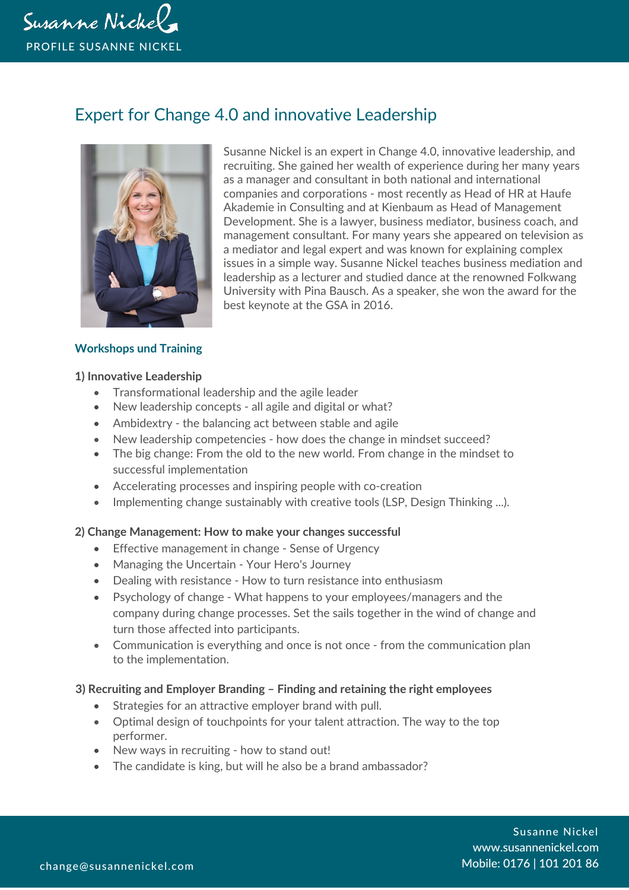

# Expert for Change 4.0 and innovative Leadership



Susanne Nickel is an expert in Change 4.0, innovative leadership, and recruiting. She gained her wealth of experience during her many years as a manager and consultant in both national and international companies and corporations - most recently as Head of HR at Haufe Akademie in Consulting and at Kienbaum as Head of Management Development. She is a lawyer, business mediator, business coach, and management consultant. For many years she appeared on television as a mediator and legal expert and was known for explaining complex issues in a simple way. Susanne Nickel teaches business mediation and leadership as a lecturer and studied dance at the renowned Folkwang University with Pina Bausch. As a speaker, she won the award for the best keynote at the GSA in 2016.

## **Workshops und Training**

#### **1) Innovative Leadership**

- Transformational leadership and the agile leader
- New leadership concepts all agile and digital or what?
- Ambidextry the balancing act between stable and agile
- New leadership competencies how does the change in mindset succeed?
- The big change: From the old to the new world. From change in the mindset to successful implementation
- Accelerating processes and inspiring people with co-creation
- Implementing change sustainably with creative tools (LSP, Design Thinking ...).

## **2) Change Management: How to make your changes successful**

- Effective management in change Sense of Urgency
- Managing the Uncertain Your Hero's Journey
- Dealing with resistance How to turn resistance into enthusiasm
- Psychology of change What happens to your employees/managers and the company during change processes. Set the sails together in the wind of change and turn those affected into participants.
- Communication is everything and once is not once from the communication plan to the implementation.

## **3) Recruiting and Employer Branding – Finding and retaining the right employees**

- Strategies for an attractive employer brand with pull.
- Optimal design of touchpoints for your talent attraction. The way to the top performer.
- New ways in recruiting how to stand out!
- The candidate is king, but will he also be a brand ambassador?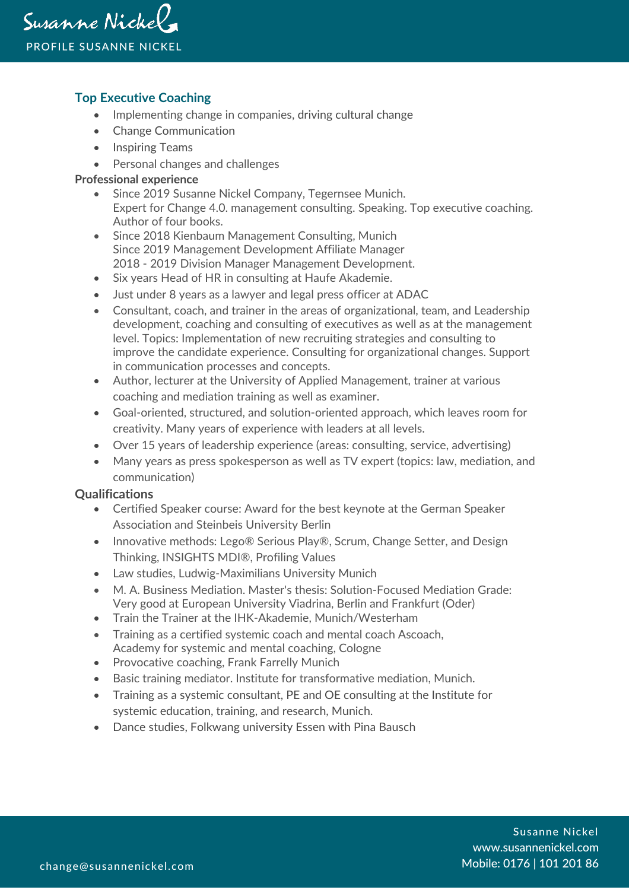# **Top Executive Coaching**

- Implementing change in companies, driving cultural change
- Change Communication
- Inspiring Teams
- Personal changes and challenges

#### **Professional experience**

- Since 2019 Susanne Nickel Company, Tegernsee Munich. Expert for Change 4.0. management consulting. Speaking. Top executive coaching. Author of four books.
- Since 2018 Kienbaum Management Consulting, Munich Since 2019 Management Development Affiliate Manager 2018 - 2019 Division Manager Management Development.
- Six years Head of HR in consulting at Haufe Akademie.
- Just under 8 years as a lawyer and legal press officer at ADAC
- Consultant, coach, and trainer in the areas of organizational, team, and Leadership development, coaching and consulting of executives as well as at the management level. Topics: Implementation of new recruiting strategies and consulting to improve the candidate experience. Consulting for organizational changes. Support in communication processes and concepts.
- Author, lecturer at the University of Applied Management, trainer at various coaching and mediation training as well as examiner.
- Goal-oriented, structured, and solution-oriented approach, which leaves room for creativity. Many years of experience with leaders at all levels.
- Over 15 years of leadership experience (areas: consulting, service, advertising)
- Many years as press spokesperson as well as TV expert (topics: law, mediation, and communication)

## **Qualifications**

- Certified Speaker course: Award for the best keynote at the German Speaker Association and Steinbeis University Berlin
- Innovative methods: Lego® Serious Play®, Scrum, Change Setter, and Design Thinking, INSIGHTS MDI®, Profiling Values
- Law studies, Ludwig-Maximilians University Munich
- M. A. Business Mediation. Master's thesis: Solution-Focused Mediation Grade: Very good at European University Viadrina, Berlin and Frankfurt (Oder)
- Train the Trainer at the IHK-Akademie, Munich/Westerham
- Training as a certified systemic coach and mental coach Ascoach, Academy for systemic and mental coaching, Cologne
- Provocative coaching, Frank Farrelly Munich
- Basic training mediator. Institute for transformative mediation, Munich.
- Training as a systemic consultant, PE and OE consulting at the Institute for systemic education, training, and research, Munich.
- Dance studies, Folkwang university Essen with Pina Bausch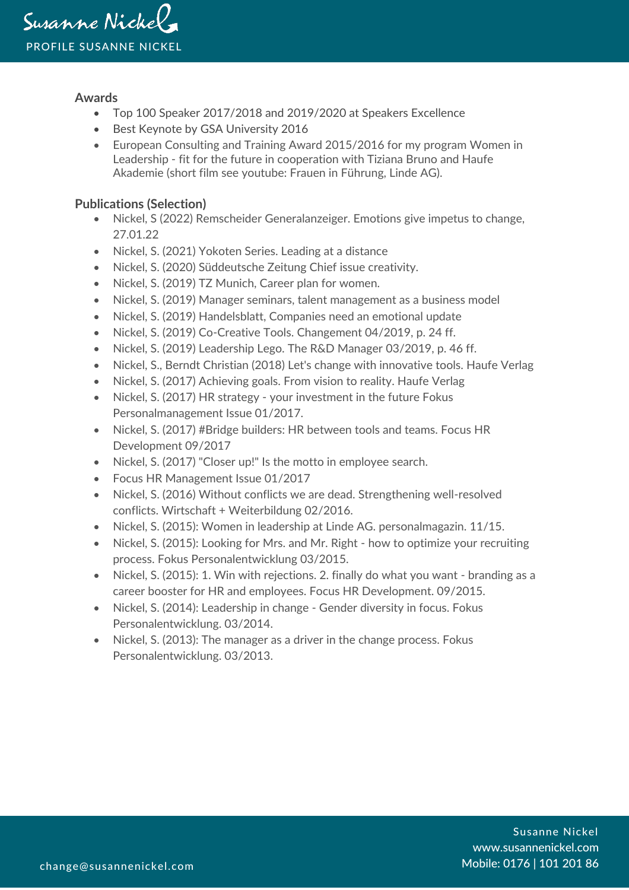## **Awards**

- Top 100 Speaker 2017/2018 and 2019/2020 at Speakers Excellence
- Best Keynote by GSA University 2016
- European Consulting and Training Award 2015/2016 for my program Women in Leadership - fit for the future in cooperation with Tiziana Bruno and Haufe Akademie (short film see youtube: Frauen in Führung, Linde AG).

# **Publications (Selection)**

- Nickel, S (2022) Remscheider Generalanzeiger. Emotions give impetus to change, 27.01.22
- Nickel, S. (2021) Yokoten Series. Leading at a distance
- Nickel, S. (2020) Süddeutsche Zeitung Chief issue creativity.
- Nickel, S. (2019) TZ Munich, Career plan for women.
- Nickel, S. (2019) Manager seminars, talent management as a business model
- Nickel, S. (2019) Handelsblatt, Companies need an emotional update
- Nickel, S. (2019) Co-Creative Tools. Changement 04/2019, p. 24 ff.
- Nickel, S. (2019) Leadership Lego. The R&D Manager 03/2019, p. 46 ff.
- Nickel, S., Berndt Christian (2018) Let's change with innovative tools. Haufe Verlag
- Nickel, S. (2017) Achieving goals. From vision to reality. Haufe Verlag
- Nickel, S. (2017) HR strategy your investment in the future Fokus Personalmanagement Issue 01/2017.
- Nickel, S. (2017) #Bridge builders: HR between tools and teams. Focus HR Development 09/2017
- Nickel, S. (2017) "Closer up!" Is the motto in employee search.
- Focus HR Management Issue 01/2017
- Nickel, S. (2016) Without conflicts we are dead. Strengthening well-resolved conflicts. Wirtschaft + Weiterbildung 02/2016.
- Nickel, S. (2015): Women in leadership at Linde AG. personalmagazin. 11/15.
- Nickel, S. (2015): Looking for Mrs. and Mr. Right how to optimize your recruiting process. Fokus Personalentwicklung 03/2015.
- Nickel, S. (2015): 1. Win with rejections. 2. finally do what you want branding as a career booster for HR and employees. Focus HR Development. 09/2015.
- Nickel, S. (2014): Leadership in change Gender diversity in focus. Fokus Personalentwicklung. 03/2014.
- Nickel, S. (2013): The manager as a driver in the change process. Fokus Personalentwicklung. 03/2013.